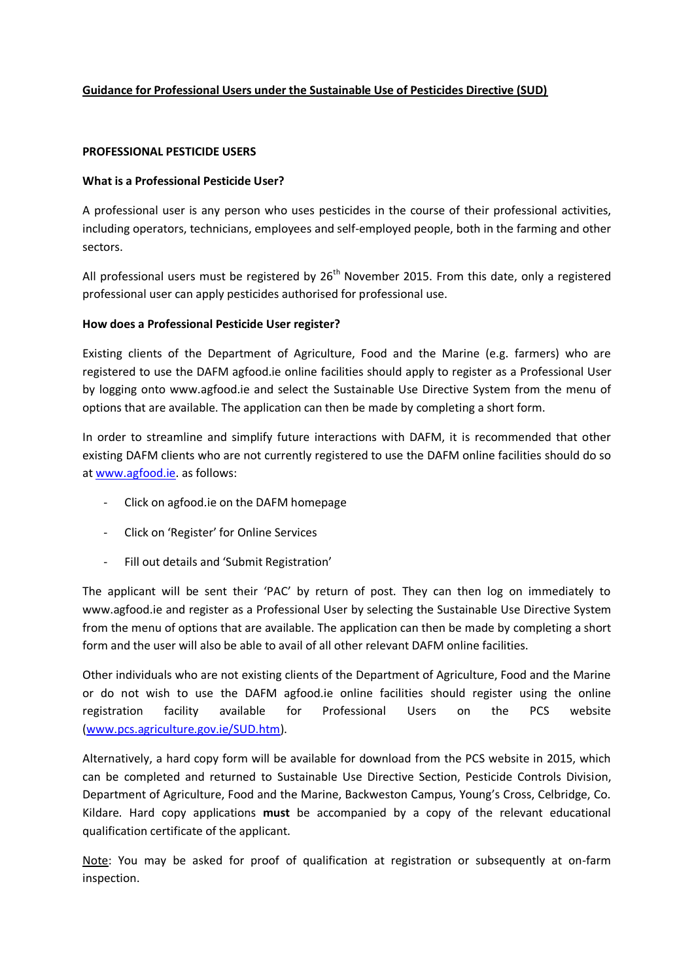# **Guidance for Professional Users under the Sustainable Use of Pesticides Directive (SUD)**

## **PROFESSIONAL PESTICIDE USERS**

## **What is a Professional Pesticide User?**

A professional user is any person who uses pesticides in the course of their professional activities, including operators, technicians, employees and self-employed people, both in the farming and other sectors.

All professional users must be registered by  $26<sup>th</sup>$  November 2015. From this date, only a registered professional user can apply pesticides authorised for professional use.

## **How does a Professional Pesticide User register?**

Existing clients of the Department of Agriculture, Food and the Marine (e.g. farmers) who are registered to use the DAFM agfood.ie online facilities should apply to register as a Professional User by logging onto www.agfood.ie and select the Sustainable Use Directive System from the menu of options that are available. The application can then be made by completing a short form.

In order to streamline and simplify future interactions with DAFM, it is recommended that other existing DAFM clients who are not currently registered to use the DAFM online facilities should do so at [www.agfood.ie.](http://www.agfood.ie/) as follows:

- Click on agfood.ie on the DAFM homepage
- Click on 'Register' for Online Services
- Fill out details and 'Submit Registration'

The applicant will be sent their 'PAC' by return of post. They can then log on immediately to www.agfood.ie and register as a Professional User by selecting the Sustainable Use Directive System from the menu of options that are available. The application can then be made by completing a short form and the user will also be able to avail of all other relevant DAFM online facilities.

Other individuals who are not existing clients of the Department of Agriculture, Food and the Marine or do not wish to use the DAFM agfood.ie online facilities should register using the online registration facility available for Professional Users on the PCS website [\(www.pcs.agriculture.gov.ie/SUD.htm\)](http://www.pcs.agriculture.gov.ie/SUD.htm).

Alternatively, a hard copy form will be available for download from the PCS website in 2015, which can be completed and returned to Sustainable Use Directive Section, Pesticide Controls Division, Department of Agriculture, Food and the Marine, Backweston Campus, Young's Cross, Celbridge, Co. Kildare. Hard copy applications **must** be accompanied by a copy of the relevant educational qualification certificate of the applicant.

Note: You may be asked for proof of qualification at registration or subsequently at on-farm inspection.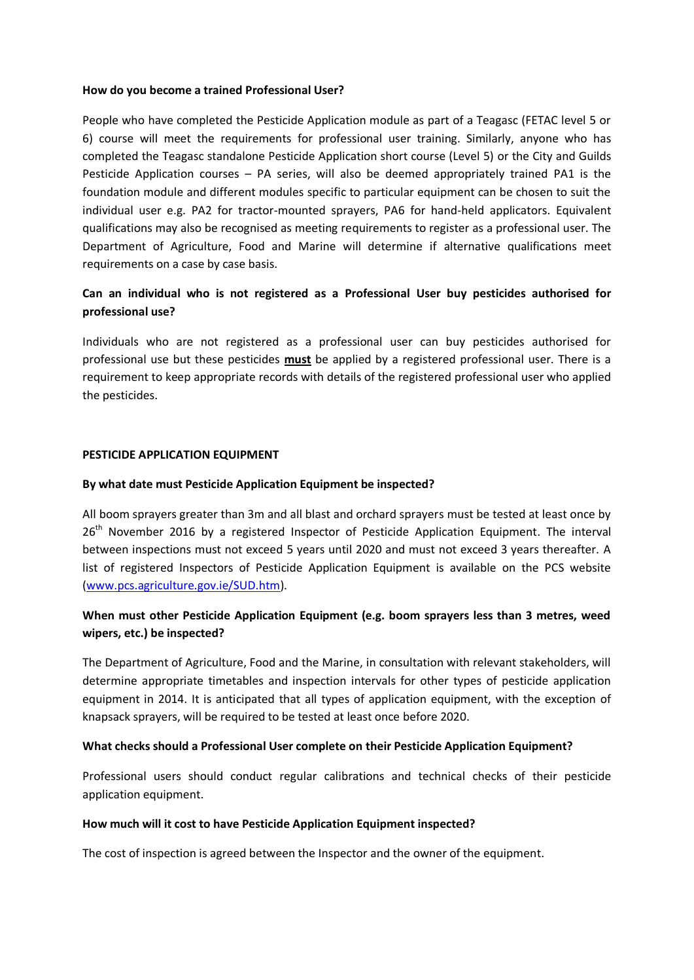## **How do you become a trained Professional User?**

People who have completed the Pesticide Application module as part of a Teagasc (FETAC level 5 or 6) course will meet the requirements for professional user training. Similarly, anyone who has completed the Teagasc standalone Pesticide Application short course (Level 5) or the City and Guilds Pesticide Application courses – PA series, will also be deemed appropriately trained PA1 is the foundation module and different modules specific to particular equipment can be chosen to suit the individual user e.g. PA2 for tractor-mounted sprayers, PA6 for hand-held applicators. Equivalent qualifications may also be recognised as meeting requirements to register as a professional user. The Department of Agriculture, Food and Marine will determine if alternative qualifications meet requirements on a case by case basis.

# **Can an individual who is not registered as a Professional User buy pesticides authorised for professional use?**

Individuals who are not registered as a professional user can buy pesticides authorised for professional use but these pesticides **must** be applied by a registered professional user. There is a requirement to keep appropriate records with details of the registered professional user who applied the pesticides.

## **PESTICIDE APPLICATION EQUIPMENT**

## **By what date must Pesticide Application Equipment be inspected?**

All boom sprayers greater than 3m and all blast and orchard sprayers must be tested at least once by 26<sup>th</sup> November 2016 by a registered Inspector of Pesticide Application Equipment. The interval between inspections must not exceed 5 years until 2020 and must not exceed 3 years thereafter. A list of registered Inspectors of Pesticide Application Equipment is available on the PCS website [\(www.pcs.agriculture.gov.ie/SUD.htm\)](http://www.pcs.agriculture.gov.ie/SUD.htm).

# **When must other Pesticide Application Equipment (e.g. boom sprayers less than 3 metres, weed wipers, etc.) be inspected?**

The Department of Agriculture, Food and the Marine, in consultation with relevant stakeholders, will determine appropriate timetables and inspection intervals for other types of pesticide application equipment in 2014. It is anticipated that all types of application equipment, with the exception of knapsack sprayers, will be required to be tested at least once before 2020.

# **What checks should a Professional User complete on their Pesticide Application Equipment?**

Professional users should conduct regular calibrations and technical checks of their pesticide application equipment.

#### **How much will it cost to have Pesticide Application Equipment inspected?**

The cost of inspection is agreed between the Inspector and the owner of the equipment.